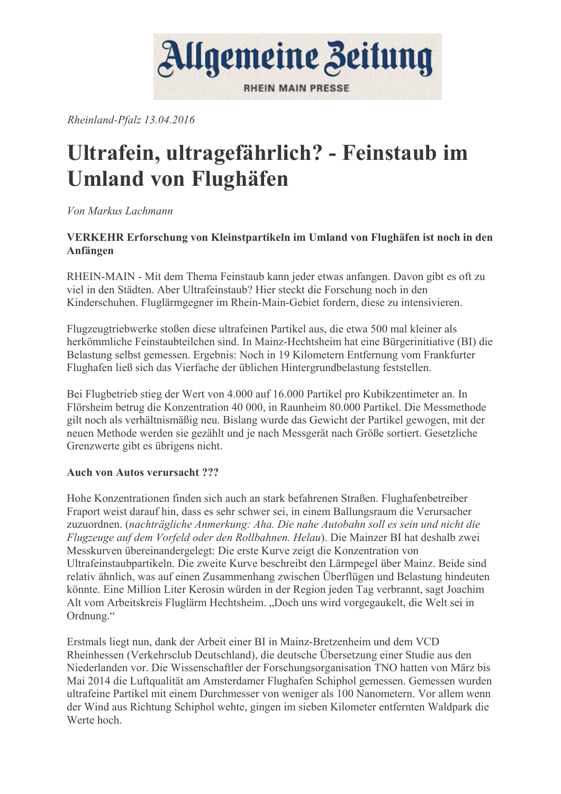

Rheinland-Pfalz 13.04.2016

## Ultrafein, ultragefährlich? - Feinstaub im **Umland von Flughäfen**

Von Markus Lachmann

### VERKEHR Erforschung von Kleinstpartikeln im Umland von Flughäfen ist noch in den Anfängen

RHEIN-MAIN - Mit dem Thema Feinstaub kann jeder etwas anfangen. Davon gibt es oft zu viel in den Städten. Aber Ultrafeinstaub? Hier steckt die Forschung noch in den Kinderschuhen. Fluglärmgegner im Rhein-Main-Gebiet fordern, diese zu intensivieren.

Flugzeugtriebwerke stoßen diese ultrafeinen Partikel aus, die etwa 500 mal kleiner als herkömmliche Feinstaubteilchen sind. In Mainz-Hechtsheim hat eine Bürgerinitiative (BI) die Belastung selbst gemessen. Ergebnis: Noch in 19 Kilometern Entfernung vom Frankfurter Flughafen ließ sich das Vierfache der üblichen Hintergrundbelastung feststellen.

Bei Flugbetrieb stieg der Wert von 4.000 auf 16.000 Partikel pro Kubikzentimeter an. In Flörsheim betrug die Konzentration 40 000, in Raunheim 80.000 Partikel. Die Messmethode gilt noch als verhältnismäßig neu. Bislang wurde das Gewicht der Partikel gewogen, mit der neuen Methode werden sie gezählt und je nach Messgerät nach Größe sortiert. Gesetzliche Grenzwerte gibt es übrigens nicht.

### Auch von Autos verursacht ???

Hohe Konzentrationen finden sich auch an stark befahrenen Straßen. Flughafenbetreiber Fraport weist darauf hin, dass es sehr schwer sei, in einem Ballungsraum die Verursacher zuzuordnen. (nachträgliche Anmerkung: Aha. Die nahe Autobahn soll es sein und nicht die Flugzeuge auf dem Vorfeld oder den Rollbahnen. Helau). Die Mainzer BI hat deshalb zwei Messkurven übereinandergelegt: Die erste Kurve zeigt die Konzentration von Ultrafeinstaubpartikeln. Die zweite Kurve beschreibt den Lärmpegel über Mainz. Beide sind relativ ähnlich, was auf einen Zusammenhang zwischen Überflügen und Belastung hindeuten könnte. Eine Million Liter Kerosin würden in der Region jeden Tag verbrannt, sagt Joachim Alt vom Arbeitskreis Fluglärm Hechtsheim. "Doch uns wird vorgegaukelt, die Welt sei in Ordnung."

Erstmals liegt nun, dank der Arbeit einer BI in Mainz-Bretzenheim und dem VCD Rheinhessen (Verkehrschub Deutschland), die deutsche Übersetzung einer Studie aus den Niederlanden vor. Die Wissenschaftler der Forschungsorganisation TNO hatten von März bis Mai 2014 die Luftqualität am Amsterdamer Flughafen Schiphol gemessen. Gemessen wurden ultrafeine Partikel mit einem Durchmesser von weniger als 100 Nanometern. Vor allem wenn der Wind aus Richtung Schiphol wehte, gingen im sieben Kilometer entfernten Waldpark die Werte hoch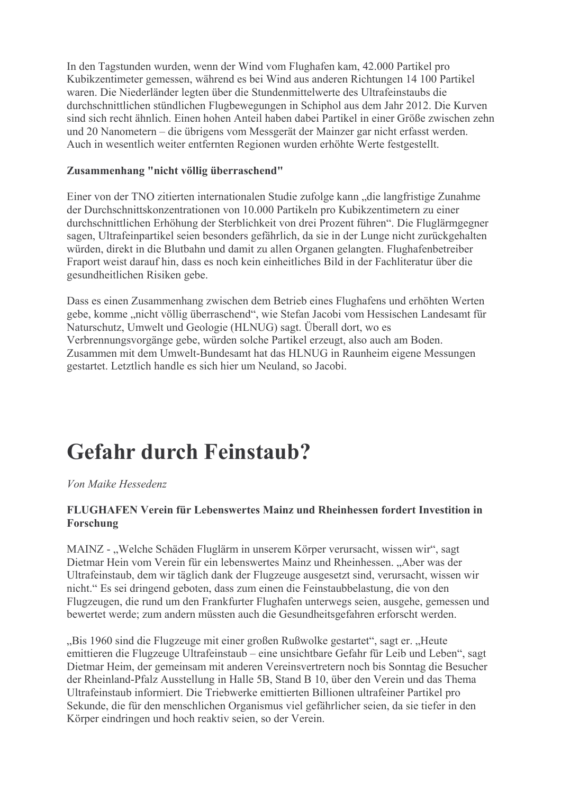In den Tagstunden wurden, wenn der Wind vom Flughafen kam, 42.000 Partikel pro Kubikzentimeter gemessen, während es bei Wind aus anderen Richtungen 14 100 Partikel waren. Die Niederländer legten über die Stundenmittelwerte des Ultrafeinstaubs die durchschnittlichen stündlichen Flugbewegungen in Schiphol aus dem Jahr 2012. Die Kurven sind sich recht ähnlich. Einen hohen Anteil haben dabei Partikel in einer Größe zwischen zehn und 20 Nanometern – die übrigens vom Messgerät der Mainzer gar nicht erfasst werden. Auch in wesentlich weiter entfernten Regionen wurden erhöhte Werte festgestellt.

#### Zusammenhang "nicht völlig überraschend"

Einer von der TNO zitierten internationalen Studie zufolge kann "die langfristige Zunahme der Durchschnittskonzentrationen von 10.000 Partikeln pro Kubikzentimetern zu einer durchschnittlichen Erhöhung der Sterblichkeit von drei Prozent führen". Die Fluglärmgegner sagen. Ultrafeinpartikel seien besonders gefährlich, da sie in der Lunge nicht zurückgehalten würden, direkt in die Blutbahn und damit zu allen Organen gelangten. Flughafenbetreiber Fraport weist darauf hin, dass es noch kein einheitliches Bild in der Fachliteratur über die gesundheitlichen Risiken gebe.

Dass es einen Zusammenhang zwischen dem Betrieb eines Flughafens und erhöhten Werten gebe, komme "nicht völlig überraschend", wie Stefan Jacobi vom Hessischen Landesamt für Naturschutz, Umwelt und Geologie (HLNUG) sagt. Überall dort, wo es Verbrennungsvorgänge gebe, würden solche Partikel erzeugt, also auch am Boden. Zusammen mit dem Umwelt-Bundesamt hat das HLNUG in Raunheim eigene Messungen gestartet. Letztlich handle es sich hier um Neuland, so Jacobi.

### **Gefahr durch Feinstaub?**

Von Maike Hessedenz

### FLUGHAFEN Verein für Lebenswertes Mainz und Rheinhessen fordert Investition in Forschung

MAINZ - "Welche Schäden Fluglärm in unserem Körper verursacht, wissen wir", sagt Dietmar Hein vom Verein für ein lebenswertes Mainz und Rheinhessen. "Aber was der Ultrafeinstaub, dem wir täglich dank der Flugzeuge ausgesetzt sind, verursacht, wissen wir nicht." Es sei dringend geboten, dass zum einen die Feinstaubbelastung, die von den Flugzeugen, die rund um den Frankfurter Flughafen unterwegs seien, ausgehe, gemessen und bewertet werde: zum andern müssten auch die Gesundheitsgefahren erforscht werden.

"Bis 1960 sind die Flugzeuge mit einer großen Rußwolke gestartet", sagt er. "Heute emittieren die Flugzeuge Ultrafeinstaub – eine unsichtbare Gefahr für Leib und Leben", sagt Dietmar Heim, der gemeinsam mit anderen Vereinsvertretern noch bis Sonntag die Besucher der Rheinland-Pfalz Ausstellung in Halle 5B, Stand B 10, über den Verein und das Thema Ultrafeinstaub informiert. Die Triebwerke emittierten Billionen ultrafeiner Partikel pro Sekunde, die für den menschlichen Organismus viel gefährlicher seien, da sie tiefer in den Körper eindringen und hoch reaktiv seien, so der Verein.